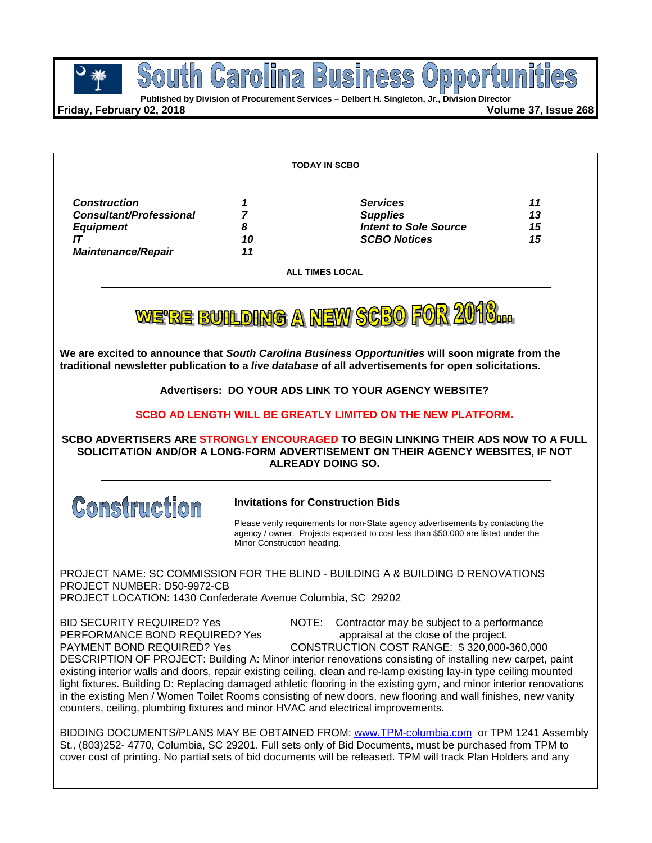

**Published by Division of Procurement Services – Delbert H. Singleton, Jr., Division Director**

**Friday, February 02, 2018 Volume 37, Issue 268**

| TODAY IN SCBO                                                                                                                                                                                                                                                                                                                                                                                                                                                                                                                                                                                                                                                                                                                                                                                                                                                                                                                                                                          |                                      |                                                                                                                                                                       |                      |  |  |  |
|----------------------------------------------------------------------------------------------------------------------------------------------------------------------------------------------------------------------------------------------------------------------------------------------------------------------------------------------------------------------------------------------------------------------------------------------------------------------------------------------------------------------------------------------------------------------------------------------------------------------------------------------------------------------------------------------------------------------------------------------------------------------------------------------------------------------------------------------------------------------------------------------------------------------------------------------------------------------------------------|--------------------------------------|-----------------------------------------------------------------------------------------------------------------------------------------------------------------------|----------------------|--|--|--|
| <b>Construction</b><br><b>Consultant/Professional</b><br><b>Equipment</b><br>IT<br><b>Maintenance/Repair</b>                                                                                                                                                                                                                                                                                                                                                                                                                                                                                                                                                                                                                                                                                                                                                                                                                                                                           | 1<br>$\overline{7}$<br>8<br>10<br>11 | <b>Services</b><br><b>Supplies</b><br><b>Intent to Sole Source</b><br><b>SCBO Notices</b>                                                                             | 11<br>13<br>15<br>15 |  |  |  |
| <b>ALL TIMES LOCAL</b>                                                                                                                                                                                                                                                                                                                                                                                                                                                                                                                                                                                                                                                                                                                                                                                                                                                                                                                                                                 |                                      |                                                                                                                                                                       |                      |  |  |  |
|                                                                                                                                                                                                                                                                                                                                                                                                                                                                                                                                                                                                                                                                                                                                                                                                                                                                                                                                                                                        |                                      |                                                                                                                                                                       |                      |  |  |  |
|                                                                                                                                                                                                                                                                                                                                                                                                                                                                                                                                                                                                                                                                                                                                                                                                                                                                                                                                                                                        |                                      | WE'RE BUILDING A NEW SCBO FOR 2010                                                                                                                                    |                      |  |  |  |
| We are excited to announce that South Carolina Business Opportunities will soon migrate from the<br>traditional newsletter publication to a live database of all advertisements for open solicitations.                                                                                                                                                                                                                                                                                                                                                                                                                                                                                                                                                                                                                                                                                                                                                                                |                                      |                                                                                                                                                                       |                      |  |  |  |
| Advertisers: DO YOUR ADS LINK TO YOUR AGENCY WEBSITE?                                                                                                                                                                                                                                                                                                                                                                                                                                                                                                                                                                                                                                                                                                                                                                                                                                                                                                                                  |                                      |                                                                                                                                                                       |                      |  |  |  |
|                                                                                                                                                                                                                                                                                                                                                                                                                                                                                                                                                                                                                                                                                                                                                                                                                                                                                                                                                                                        |                                      | SCBO AD LENGTH WILL BE GREATLY LIMITED ON THE NEW PLATFORM.                                                                                                           |                      |  |  |  |
| SCBO ADVERTISERS ARE STRONGLY ENCOURAGED TO BEGIN LINKING THEIR ADS NOW TO A FULL<br>SOLICITATION AND/OR A LONG-FORM ADVERTISEMENT ON THEIR AGENCY WEBSITES, IF NOT<br><b>ALREADY DOING SO.</b>                                                                                                                                                                                                                                                                                                                                                                                                                                                                                                                                                                                                                                                                                                                                                                                        |                                      |                                                                                                                                                                       |                      |  |  |  |
| <b>Construction</b><br><b>Invitations for Construction Bids</b>                                                                                                                                                                                                                                                                                                                                                                                                                                                                                                                                                                                                                                                                                                                                                                                                                                                                                                                        |                                      |                                                                                                                                                                       |                      |  |  |  |
|                                                                                                                                                                                                                                                                                                                                                                                                                                                                                                                                                                                                                                                                                                                                                                                                                                                                                                                                                                                        | Minor Construction heading.          | Please verify requirements for non-State agency advertisements by contacting the<br>agency / owner. Projects expected to cost less than \$50,000 are listed under the |                      |  |  |  |
| PROJECT NAME: SC COMMISSION FOR THE BLIND - BUILDING A & BUILDING D RENOVATIONS<br>PROJECT NUMBER: D50-9972-CB<br>PROJECT LOCATION: 1430 Confederate Avenue Columbia, SC 29202                                                                                                                                                                                                                                                                                                                                                                                                                                                                                                                                                                                                                                                                                                                                                                                                         |                                      |                                                                                                                                                                       |                      |  |  |  |
| <b>BID SECURITY REQUIRED? Yes</b><br>PERFORMANCE BOND REQUIRED? Yes<br>PAYMENT BOND REQUIRED? Yes<br>DESCRIPTION OF PROJECT: Building A: Minor interior renovations consisting of installing new carpet, paint<br>existing interior walls and doors, repair existing ceiling, clean and re-lamp existing lay-in type ceiling mounted<br>light fixtures. Building D: Replacing damaged athletic flooring in the existing gym, and minor interior renovations<br>in the existing Men / Women Toilet Rooms consisting of new doors, new flooring and wall finishes, new vanity<br>counters, ceiling, plumbing fixtures and minor HVAC and electrical improvements.<br>BIDDING DOCUMENTS/PLANS MAY BE OBTAINED FROM: www.TPM-columbia.com or TPM 1241 Assembly<br>St., (803)252-4770, Columbia, SC 29201. Full sets only of Bid Documents, must be purchased from TPM to<br>cover cost of printing. No partial sets of bid documents will be released. TPM will track Plan Holders and any | NOTE:                                | Contractor may be subject to a performance<br>appraisal at the close of the project.<br>CONSTRUCTION COST RANGE: \$320,000-360,000                                    |                      |  |  |  |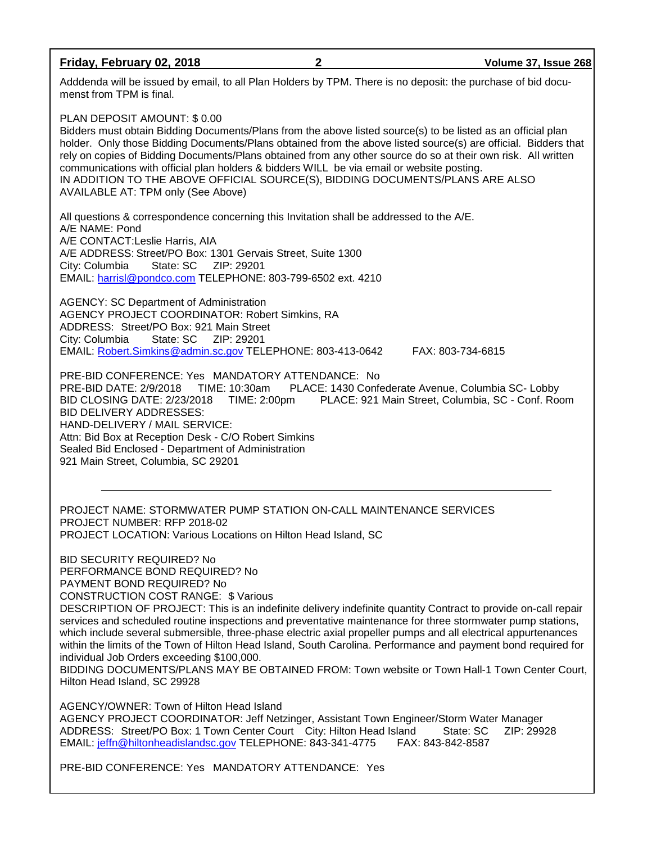#### **Friday, February 02, 2018 2 Volume 37, Issue 268**

Adddenda will be issued by email, to all Plan Holders by TPM. There is no deposit: the purchase of bid documenst from TPM is final.

PLAN DEPOSIT AMOUNT: \$ 0.00

Bidders must obtain Bidding Documents/Plans from the above listed source(s) to be listed as an official plan holder. Only those Bidding Documents/Plans obtained from the above listed source(s) are official. Bidders that rely on copies of Bidding Documents/Plans obtained from any other source do so at their own risk. All written communications with official plan holders & bidders WILL be via email or website posting. IN ADDITION TO THE ABOVE OFFICIAL SOURCE(S), BIDDING DOCUMENTS/PLANS ARE ALSO AVAILABLE AT: TPM only (See Above)

All questions & correspondence concerning this Invitation shall be addressed to the A/E. A/E NAME: Pond A/E CONTACT:Leslie Harris, AIA A/E ADDRESS: Street/PO Box: 1301 Gervais Street, Suite 1300 City: Columbia State: SC ZIP: 29201 EMAIL: [harrisl@pondco.com](mailto:harrisl@pondco.com) TELEPHONE: 803-799-6502 ext. 4210

AGENCY: SC Department of Administration AGENCY PROJECT COORDINATOR: Robert Simkins, RA ADDRESS: Street/PO Box: 921 Main Street City: Columbia EMAIL: [Robert.Simkins@admin.sc.gov](mailto:Robert.Simkins@admin.sc.gov) TELEPHONE: 803-413-0642 FAX: 803-734-6815

PRE-BID CONFERENCE: Yes MANDATORY ATTENDANCE: No PRE-BID DATE: 2/9/2018 TIME: 10:30am PLACE: 1430 Confederate Avenue, Columbia SC- Lobby<br>BID CLOSING DATE: 2/23/2018 TIME: 2:00pm PLACE: 921 Main Street, Columbia, SC - Conf. Roo BID CLOSING DATE: 2/23/2018 TIME: 2:00pm PLACE: 921 Main Street, Columbia, SC - Conf. Room BID DELIVERY ADDRESSES: HAND-DELIVERY / MAIL SERVICE: Attn: Bid Box at Reception Desk - C/O Robert Simkins Sealed Bid Enclosed - Department of Administration 921 Main Street, Columbia, SC 29201

PROJECT NAME: STORMWATER PUMP STATION ON-CALL MAINTENANCE SERVICES PROJECT NUMBER: RFP 2018-02 PROJECT LOCATION: Various Locations on Hilton Head Island, SC

BID SECURITY REQUIRED? No PERFORMANCE BOND REQUIRED? No PAYMENT BOND REQUIRED? No

CONSTRUCTION COST RANGE: \$ Various

DESCRIPTION OF PROJECT: This is an indefinite delivery indefinite quantity Contract to provide on-call repair services and scheduled routine inspections and preventative maintenance for three stormwater pump stations, which include several submersible, three-phase electric axial propeller pumps and all electrical appurtenances within the limits of the Town of Hilton Head Island, South Carolina. Performance and payment bond required for individual Job Orders exceeding \$100,000.

BIDDING DOCUMENTS/PLANS MAY BE OBTAINED FROM: Town website or Town Hall-1 Town Center Court, Hilton Head Island, SC 29928

AGENCY/OWNER: Town of Hilton Head Island AGENCY PROJECT COORDINATOR: Jeff Netzinger, Assistant Town Engineer/Storm Water Manager<br>ADDRESS: Street/PO Box: 1 Town Center Court City: Hilton Head Island State: SC ZIP: 29928 ADDRESS: Street/PO Box: 1 Town Center Court City: Hilton Head Island EMAIL: [jeffn@hiltonheadislandsc.gov](mailto:jeffn@hiltonheadislandsc.gov) TELEPHONE: 843-341-4775 FAX: 843-842-8587

PRE-BID CONFERENCE: Yes MANDATORY ATTENDANCE: Yes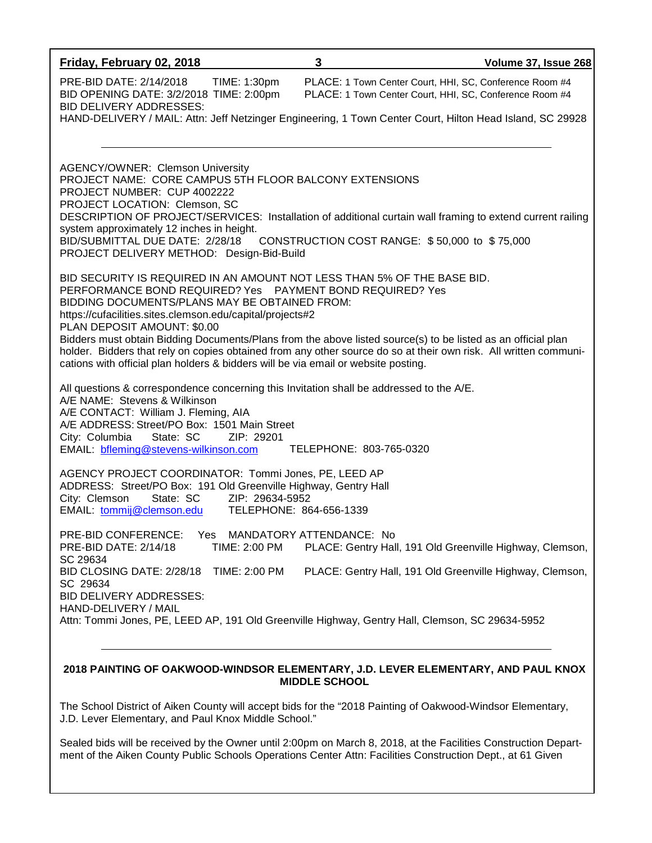| Friday, February 02, 2018                                                                                                                                                                                                                                                                                                                                                                                                                                                                                                                                                                                    | 3                                                                                                                  | Volume 37, Issue 268 |  |  |
|--------------------------------------------------------------------------------------------------------------------------------------------------------------------------------------------------------------------------------------------------------------------------------------------------------------------------------------------------------------------------------------------------------------------------------------------------------------------------------------------------------------------------------------------------------------------------------------------------------------|--------------------------------------------------------------------------------------------------------------------|----------------------|--|--|
| PRE-BID DATE: 2/14/2018<br>TIME: 1:30pm<br>BID OPENING DATE: 3/2/2018 TIME: 2:00pm<br><b>BID DELIVERY ADDRESSES:</b>                                                                                                                                                                                                                                                                                                                                                                                                                                                                                         | PLACE: 1 Town Center Court, HHI, SC, Conference Room #4<br>PLACE: 1 Town Center Court, HHI, SC, Conference Room #4 |                      |  |  |
| HAND-DELIVERY / MAIL: Attn: Jeff Netzinger Engineering, 1 Town Center Court, Hilton Head Island, SC 29928                                                                                                                                                                                                                                                                                                                                                                                                                                                                                                    |                                                                                                                    |                      |  |  |
| <b>AGENCY/OWNER: Clemson University</b><br>PROJECT NAME: CORE CAMPUS 5TH FLOOR BALCONY EXTENSIONS<br>PROJECT NUMBER: CUP 4002222<br>PROJECT LOCATION: Clemson, SC<br>DESCRIPTION OF PROJECT/SERVICES: Installation of additional curtain wall framing to extend current railing<br>system approximately 12 inches in height.<br>BID/SUBMITTAL DUE DATE: 2/28/18 CONSTRUCTION COST RANGE: \$50,000 to \$75,000<br>PROJECT DELIVERY METHOD: Design-Bid-Build                                                                                                                                                   |                                                                                                                    |                      |  |  |
| BID SECURITY IS REQUIRED IN AN AMOUNT NOT LESS THAN 5% OF THE BASE BID.<br>PERFORMANCE BOND REQUIRED? Yes  PAYMENT BOND REQUIRED? Yes<br>BIDDING DOCUMENTS/PLANS MAY BE OBTAINED FROM:<br>https://cufacilities.sites.clemson.edu/capital/projects#2<br>PLAN DEPOSIT AMOUNT: \$0.00<br>Bidders must obtain Bidding Documents/Plans from the above listed source(s) to be listed as an official plan<br>holder. Bidders that rely on copies obtained from any other source do so at their own risk. All written communi-<br>cations with official plan holders & bidders will be via email or website posting. |                                                                                                                    |                      |  |  |
| All questions & correspondence concerning this Invitation shall be addressed to the A/E.<br>A/E NAME: Stevens & Wilkinson<br>A/E CONTACT: William J. Fleming, AIA<br>A/E ADDRESS: Street/PO Box: 1501 Main Street<br>City: Columbia<br>State: SC<br>ZIP: 29201<br>EMAIL: bfleming@stevens-wilkinson.com                                                                                                                                                                                                                                                                                                      | TELEPHONE: 803-765-0320                                                                                            |                      |  |  |
| AGENCY PROJECT COORDINATOR: Tommi Jones, PE, LEED AP<br>ADDRESS: Street/PO Box: 191 Old Greenville Highway, Gentry Hall<br>City: Clemson<br>State: SC<br>ZIP: 29634-5952<br>EMAIL: tommij@clemson.edu                                                                                                                                                                                                                                                                                                                                                                                                        | TELEPHONE: 864-656-1339                                                                                            |                      |  |  |
| PRE-BID CONFERENCE:<br>Yes<br>TIME: 2:00 PM<br>PRE-BID DATE: 2/14/18<br>SC 29634                                                                                                                                                                                                                                                                                                                                                                                                                                                                                                                             | MANDATORY ATTENDANCE: No<br>PLACE: Gentry Hall, 191 Old Greenville Highway, Clemson,                               |                      |  |  |
| BID CLOSING DATE: 2/28/18<br>TIME: 2:00 PM<br>SC 29634<br><b>BID DELIVERY ADDRESSES:</b><br>HAND-DELIVERY / MAIL                                                                                                                                                                                                                                                                                                                                                                                                                                                                                             | PLACE: Gentry Hall, 191 Old Greenville Highway, Clemson,                                                           |                      |  |  |
| Attn: Tommi Jones, PE, LEED AP, 191 Old Greenville Highway, Gentry Hall, Clemson, SC 29634-5952                                                                                                                                                                                                                                                                                                                                                                                                                                                                                                              |                                                                                                                    |                      |  |  |
| 2018 PAINTING OF OAKWOOD-WINDSOR ELEMENTARY, J.D. LEVER ELEMENTARY, AND PAUL KNOX<br><b>MIDDLE SCHOOL</b>                                                                                                                                                                                                                                                                                                                                                                                                                                                                                                    |                                                                                                                    |                      |  |  |

The School District of Aiken County will accept bids for the "2018 Painting of Oakwood-Windsor Elementary, J.D. Lever Elementary, and Paul Knox Middle School."

Sealed bids will be received by the Owner until 2:00pm on March 8, 2018, at the Facilities Construction Department of the Aiken County Public Schools Operations Center Attn: Facilities Construction Dept., at 61 Given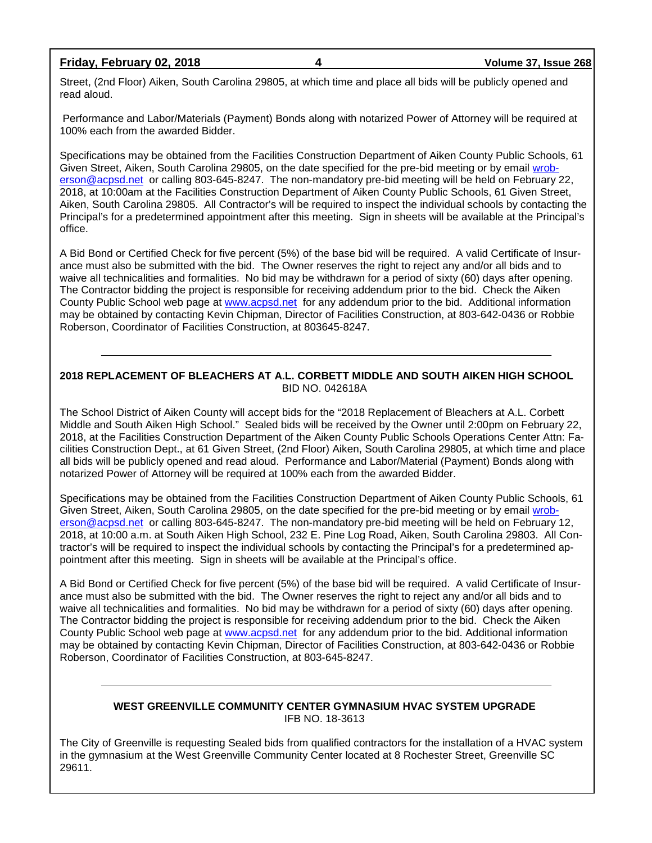#### **Friday, February 02, 2018 4 Volume 37, Issue 268**

Street, (2nd Floor) Aiken, South Carolina 29805, at which time and place all bids will be publicly opened and read aloud.

Performance and Labor/Materials (Payment) Bonds along with notarized Power of Attorney will be required at 100% each from the awarded Bidder.

Specifications may be obtained from the Facilities Construction Department of Aiken County Public Schools, 61 Given Street, Aiken, South Carolina 29805, on the date specified for the pre-bid meeting or by email [wrob](mailto:wroberson@acpsd.net)[erson@acpsd.net](mailto:wroberson@acpsd.net) or calling 803-645-8247. The non-mandatory pre-bid meeting will be held on February 22, 2018, at 10:00am at the Facilities Construction Department of Aiken County Public Schools, 61 Given Street, Aiken, South Carolina 29805. All Contractor's will be required to inspect the individual schools by contacting the Principal's for a predetermined appointment after this meeting. Sign in sheets will be available at the Principal's office.

A Bid Bond or Certified Check for five percent (5%) of the base bid will be required. A valid Certificate of Insurance must also be submitted with the bid. The Owner reserves the right to reject any and/or all bids and to waive all technicalities and formalities. No bid may be withdrawn for a period of sixty (60) days after opening. The Contractor bidding the project is responsible for receiving addendum prior to the bid. Check the Aiken County Public School web page at [www.acpsd.net](http://www.acpsd.net/) for any addendum prior to the bid. Additional information may be obtained by contacting Kevin Chipman, Director of Facilities Construction, at 803-642-0436 or Robbie Roberson, Coordinator of Facilities Construction, at 803645-8247.

#### **2018 REPLACEMENT OF BLEACHERS AT A.L. CORBETT MIDDLE AND SOUTH AIKEN HIGH SCHOOL** BID NO. 042618A

The School District of Aiken County will accept bids for the "2018 Replacement of Bleachers at A.L. Corbett Middle and South Aiken High School." Sealed bids will be received by the Owner until 2:00pm on February 22, 2018, at the Facilities Construction Department of the Aiken County Public Schools Operations Center Attn: Facilities Construction Dept., at 61 Given Street, (2nd Floor) Aiken, South Carolina 29805, at which time and place all bids will be publicly opened and read aloud. Performance and Labor/Material (Payment) Bonds along with notarized Power of Attorney will be required at 100% each from the awarded Bidder.

Specifications may be obtained from the Facilities Construction Department of Aiken County Public Schools, 61 Given Street, Aiken, South Carolina 29805, on the date specified for the pre-bid meeting or by email [wrob](mailto:wroberson@acpsd.net)[erson@acpsd.net](mailto:wroberson@acpsd.net) or calling 803-645-8247. The non-mandatory pre-bid meeting will be held on February 12, 2018, at 10:00 a.m. at South Aiken High School, 232 E. Pine Log Road, Aiken, South Carolina 29803. All Contractor's will be required to inspect the individual schools by contacting the Principal's for a predetermined appointment after this meeting. Sign in sheets will be available at the Principal's office.

A Bid Bond or Certified Check for five percent (5%) of the base bid will be required. A valid Certificate of Insurance must also be submitted with the bid. The Owner reserves the right to reject any and/or all bids and to waive all technicalities and formalities. No bid may be withdrawn for a period of sixty (60) days after opening. The Contractor bidding the project is responsible for receiving addendum prior to the bid. Check the Aiken County Public School web page at [www.acpsd.net](http://www.acpsd.net/) for any addendum prior to the bid. Additional information may be obtained by contacting Kevin Chipman, Director of Facilities Construction, at 803-642-0436 or Robbie Roberson, Coordinator of Facilities Construction, at 803-645-8247.

#### **WEST GREENVILLE COMMUNITY CENTER GYMNASIUM HVAC SYSTEM UPGRADE** IFB NO. 18-3613

The City of Greenville is requesting Sealed bids from qualified contractors for the installation of a HVAC system in the gymnasium at the West Greenville Community Center located at 8 Rochester Street, Greenville SC 29611.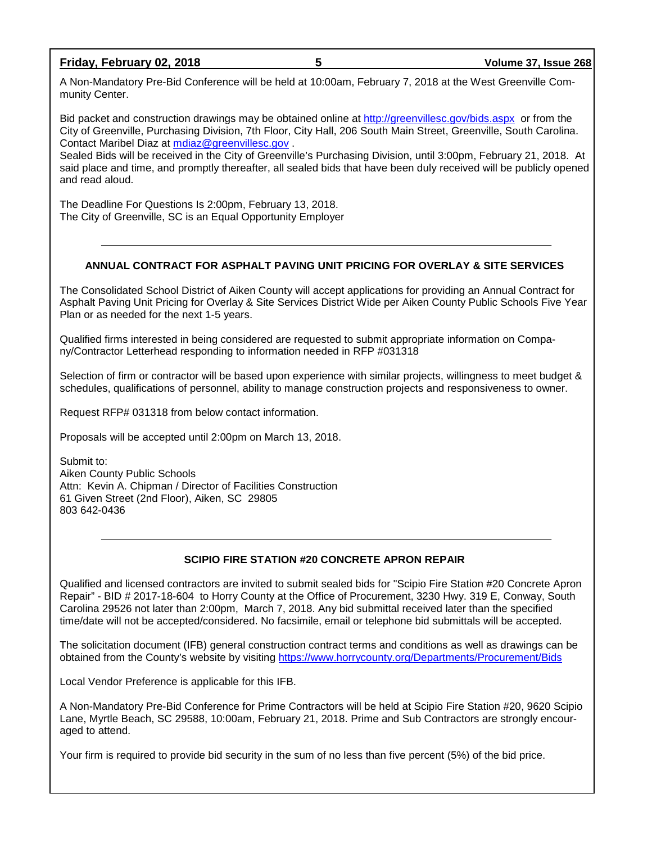#### **Friday, February 02, 2018 5 Volume 37, Issue 268**

A Non-Mandatory Pre-Bid Conference will be held at 10:00am, February 7, 2018 at the West Greenville Community Center.

Bid packet and construction drawings may be obtained online at<http://greenvillesc.gov/bids.aspx> or from the City of Greenville, Purchasing Division, 7th Floor, City Hall, 206 South Main Street, Greenville, South Carolina. Contact Maribel Diaz at [mdiaz@greenvillesc.gov](mailto:mdiaz@greenvillesc.gov).

Sealed Bids will be received in the City of Greenville's Purchasing Division, until 3:00pm, February 21, 2018. At said place and time, and promptly thereafter, all sealed bids that have been duly received will be publicly opened and read aloud.

The Deadline For Questions Is 2:00pm, February 13, 2018. The City of Greenville, SC is an Equal Opportunity Employer

#### **ANNUAL CONTRACT FOR ASPHALT PAVING UNIT PRICING FOR OVERLAY & SITE SERVICES**

The Consolidated School District of Aiken County will accept applications for providing an Annual Contract for Asphalt Paving Unit Pricing for Overlay & Site Services District Wide per Aiken County Public Schools Five Year Plan or as needed for the next 1-5 years.

Qualified firms interested in being considered are requested to submit appropriate information on Company/Contractor Letterhead responding to information needed in RFP #031318

Selection of firm or contractor will be based upon experience with similar projects, willingness to meet budget & schedules, qualifications of personnel, ability to manage construction projects and responsiveness to owner.

Request RFP# 031318 from below contact information.

Proposals will be accepted until 2:00pm on March 13, 2018.

Submit to: Aiken County Public Schools Attn: Kevin A. Chipman / Director of Facilities Construction 61 Given Street (2nd Floor), Aiken, SC 29805 803 642-0436

#### **SCIPIO FIRE STATION #20 CONCRETE APRON REPAIR**

Qualified and licensed contractors are invited to submit sealed bids for "Scipio Fire Station #20 Concrete Apron Repair" - BID # 2017-18-604 to Horry County at the Office of Procurement, 3230 Hwy. 319 E, Conway, South Carolina 29526 not later than 2:00pm, March 7, 2018. Any bid submittal received later than the specified time/date will not be accepted/considered. No facsimile, email or telephone bid submittals will be accepted.

The solicitation document (IFB) general construction contract terms and conditions as well as drawings can be obtained from the County's website by visiting<https://www.horrycounty.org/Departments/Procurement/Bids>

Local Vendor Preference is applicable for this IFB.

A Non-Mandatory Pre-Bid Conference for Prime Contractors will be held at Scipio Fire Station #20, 9620 Scipio Lane, Myrtle Beach, SC 29588, 10:00am, February 21, 2018. Prime and Sub Contractors are strongly encouraged to attend.

Your firm is required to provide bid security in the sum of no less than five percent (5%) of the bid price.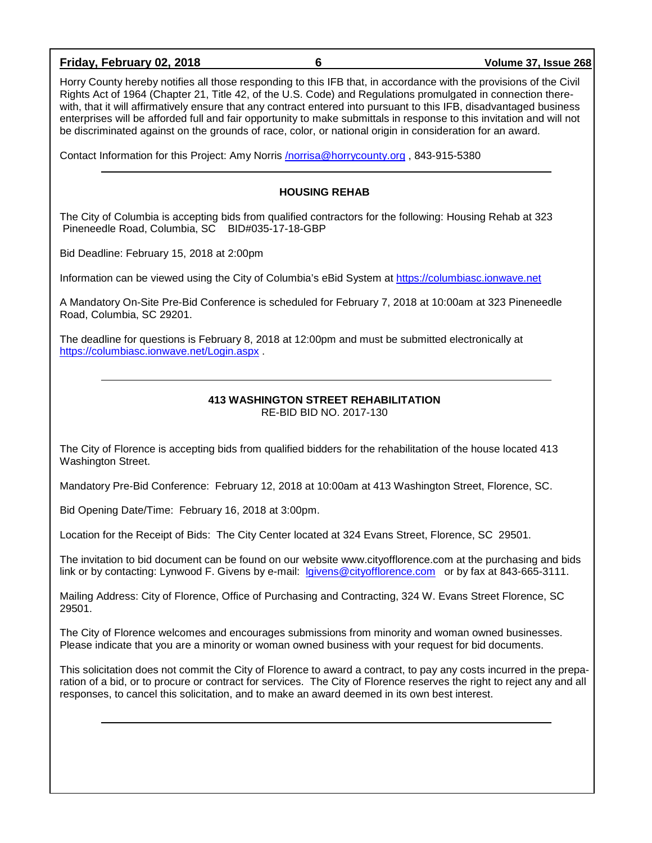#### **Friday, February 02, 2018 6 Volume 37, Issue 268**

Horry County hereby notifies all those responding to this IFB that, in accordance with the provisions of the Civil Rights Act of 1964 (Chapter 21, Title 42, of the U.S. Code) and Regulations promulgated in connection therewith, that it will affirmatively ensure that any contract entered into pursuant to this IFB, disadvantaged business enterprises will be afforded full and fair opportunity to make submittals in response to this invitation and will not be discriminated against on the grounds of race, color, or national origin in consideration for an award.

Contact Information for this Project: Amy Norris [/norrisa@horrycounty.org](mailto:/norrisa@horrycounty.org) , 843-915-5380

#### **HOUSING REHAB**

The City of Columbia is accepting bids from qualified contractors for the following: Housing Rehab at 323 Pineneedle Road, Columbia, SC BID#035-17-18-GBP

Bid Deadline: February 15, 2018 at 2:00pm

Information can be viewed using the City of Columbia's eBid System at [https://columbiasc.ionwave.net](https://columbiasc.ionwave.net/)

A Mandatory On-Site Pre-Bid Conference is scheduled for February 7, 2018 at 10:00am at 323 Pineneedle Road, Columbia, SC 29201.

The deadline for questions is February 8, 2018 at 12:00pm and must be submitted electronically at <https://columbiasc.ionwave.net/Login.aspx> .

#### **413 WASHINGTON STREET REHABILITATION**

RE-BID BID NO. 2017-130

The City of Florence is accepting bids from qualified bidders for the rehabilitation of the house located 413 Washington Street.

Mandatory Pre-Bid Conference: February 12, 2018 at 10:00am at 413 Washington Street, Florence, SC.

Bid Opening Date/Time: February 16, 2018 at 3:00pm.

Location for the Receipt of Bids: The City Center located at 324 Evans Street, Florence, SC 29501.

The invitation to bid document can be found on our website www.cityofflorence.com at the purchasing and bids link or by contacting: Lynwood F. Givens by e-mail: [lgivens@cityofflorence.com](mailto:lgivens@cityofflorence.com) or by fax at 843-665-3111.

Mailing Address: City of Florence, Office of Purchasing and Contracting, 324 W. Evans Street Florence, SC 29501.

The City of Florence welcomes and encourages submissions from minority and woman owned businesses. Please indicate that you are a minority or woman owned business with your request for bid documents.

This solicitation does not commit the City of Florence to award a contract, to pay any costs incurred in the preparation of a bid, or to procure or contract for services. The City of Florence reserves the right to reject any and all responses, to cancel this solicitation, and to make an award deemed in its own best interest.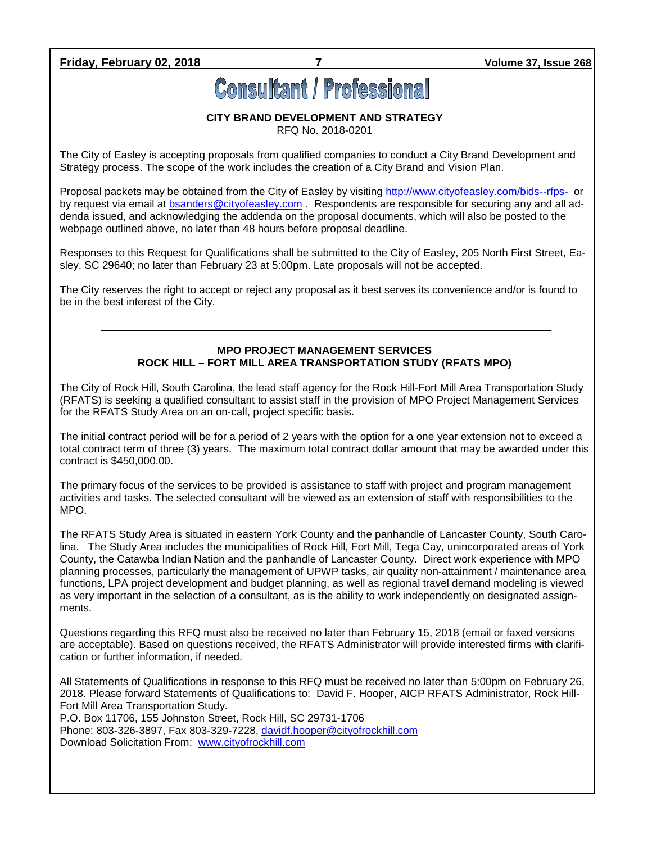#### **Friday, February 02, 2018 7 Volume 37, Issue 268**

# **Consultant / Professional**

#### **CITY BRAND DEVELOPMENT AND STRATEGY**

RFQ No. 2018-0201

The City of Easley is accepting proposals from qualified companies to conduct a City Brand Development and Strategy process. The scope of the work includes the creation of a City Brand and Vision Plan.

Proposal packets may be obtained from the City of Easley by visiting<http://www.cityofeasley.com/bids--rfps-> or by request via email at **bsanders@cityofeasley.com**. Respondents are responsible for securing any and all addenda issued, and acknowledging the addenda on the proposal documents, which will also be posted to the webpage outlined above, no later than 48 hours before proposal deadline.

Responses to this Request for Qualifications shall be submitted to the City of Easley, 205 North First Street, Easley, SC 29640; no later than February 23 at 5:00pm. Late proposals will not be accepted.

The City reserves the right to accept or reject any proposal as it best serves its convenience and/or is found to be in the best interest of the City.

#### **MPO PROJECT MANAGEMENT SERVICES ROCK HILL – FORT MILL AREA TRANSPORTATION STUDY (RFATS MPO)**

The City of Rock Hill, South Carolina, the lead staff agency for the Rock Hill-Fort Mill Area Transportation Study (RFATS) is seeking a qualified consultant to assist staff in the provision of MPO Project Management Services for the RFATS Study Area on an on-call, project specific basis.

The initial contract period will be for a period of 2 years with the option for a one year extension not to exceed a total contract term of three (3) years. The maximum total contract dollar amount that may be awarded under this contract is \$450,000.00.

The primary focus of the services to be provided is assistance to staff with project and program management activities and tasks. The selected consultant will be viewed as an extension of staff with responsibilities to the MPO.

The RFATS Study Area is situated in eastern York County and the panhandle of Lancaster County, South Carolina. The Study Area includes the municipalities of Rock Hill, Fort Mill, Tega Cay, unincorporated areas of York County, the Catawba Indian Nation and the panhandle of Lancaster County. Direct work experience with MPO planning processes, particularly the management of UPWP tasks, air quality non-attainment / maintenance area functions, LPA project development and budget planning, as well as regional travel demand modeling is viewed as very important in the selection of a consultant, as is the ability to work independently on designated assignments.

Questions regarding this RFQ must also be received no later than February 15, 2018 (email or faxed versions are acceptable). Based on questions received, the RFATS Administrator will provide interested firms with clarification or further information, if needed.

All Statements of Qualifications in response to this RFQ must be received no later than 5:00pm on February 26, 2018. Please forward Statements of Qualifications to: David F. Hooper, AICP RFATS Administrator, Rock Hill-Fort Mill Area Transportation Study.

P.O. Box 11706, 155 Johnston Street, Rock Hill, SC 29731-1706 Phone: 803-326-3897, Fax 803-329-7228, [davidf.hooper@cityofrockhill.com](mailto:davidf.hooper@cityofrockhill.com) Download Solicitation From: [www.cityofrockhill.com](http://www.cityofrockhill.com/)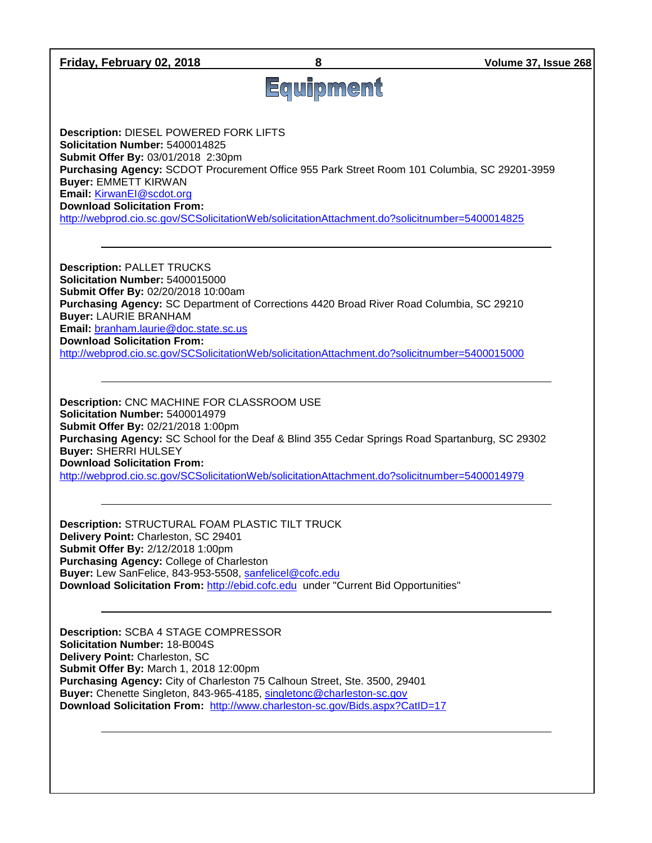| Friday, February 02, 2018                                                                                                                                                                                                                                                                                                                                                                                                |           | Volume 37, Issue 268 |
|--------------------------------------------------------------------------------------------------------------------------------------------------------------------------------------------------------------------------------------------------------------------------------------------------------------------------------------------------------------------------------------------------------------------------|-----------|----------------------|
|                                                                                                                                                                                                                                                                                                                                                                                                                          | Equipment |                      |
| Description: DIESEL POWERED FORK LIFTS<br>Solicitation Number: 5400014825<br>Submit Offer By: 03/01/2018 2:30pm<br>Purchasing Agency: SCDOT Procurement Office 955 Park Street Room 101 Columbia, SC 29201-3959<br><b>Buyer: EMMETT KIRWAN</b><br>Email: KirwanEl@scdot.org<br><b>Download Solicitation From:</b><br>http://webprod.cio.sc.gov/SCSolicitationWeb/solicitationAttachment.do?solicitnumber=5400014825      |           |                      |
| <b>Description: PALLET TRUCKS</b><br>Solicitation Number: 5400015000<br>Submit Offer By: 02/20/2018 10:00am<br>Purchasing Agency: SC Department of Corrections 4420 Broad River Road Columbia, SC 29210<br><b>Buyer: LAURIE BRANHAM</b><br>Email: branham.laurie@doc.state.sc.us<br><b>Download Solicitation From:</b><br>http://webprod.cio.sc.gov/SCSolicitationWeb/solicitationAttachment.do?solicitnumber=5400015000 |           |                      |
| Description: CNC MACHINE FOR CLASSROOM USE<br>Solicitation Number: 5400014979<br>Submit Offer By: 02/21/2018 1:00pm<br>Purchasing Agency: SC School for the Deaf & Blind 355 Cedar Springs Road Spartanburg, SC 29302<br><b>Buyer: SHERRI HULSEY</b><br><b>Download Solicitation From:</b><br>http://webprod.cio.sc.gov/SCSolicitationWeb/solicitationAttachment.do?solicitnumber=5400014979                             |           |                      |
| Description: STRUCTURAL FOAM PLASTIC TILT TRUCK<br>Delivery Point: Charleston, SC 29401<br>Submit Offer By: 2/12/2018 1:00pm<br>Purchasing Agency: College of Charleston<br>Buyer: Lew SanFelice, 843-953-5508, sanfelicel@cofc.edu<br>Download Solicitation From: http://ebid.cofc.edu under "Current Bid Opportunities"                                                                                                |           |                      |
| Description: SCBA 4 STAGE COMPRESSOR<br><b>Solicitation Number: 18-B004S</b><br>Delivery Point: Charleston, SC<br>Submit Offer By: March 1, 2018 12:00pm<br>Purchasing Agency: City of Charleston 75 Calhoun Street, Ste. 3500, 29401<br>Buyer: Chenette Singleton, 843-965-4185, singletonc@charleston-sc.gov<br>Download Solicitation From: http://www.charleston-sc.gov/Bids.aspx?CatlD=17                            |           |                      |
|                                                                                                                                                                                                                                                                                                                                                                                                                          |           |                      |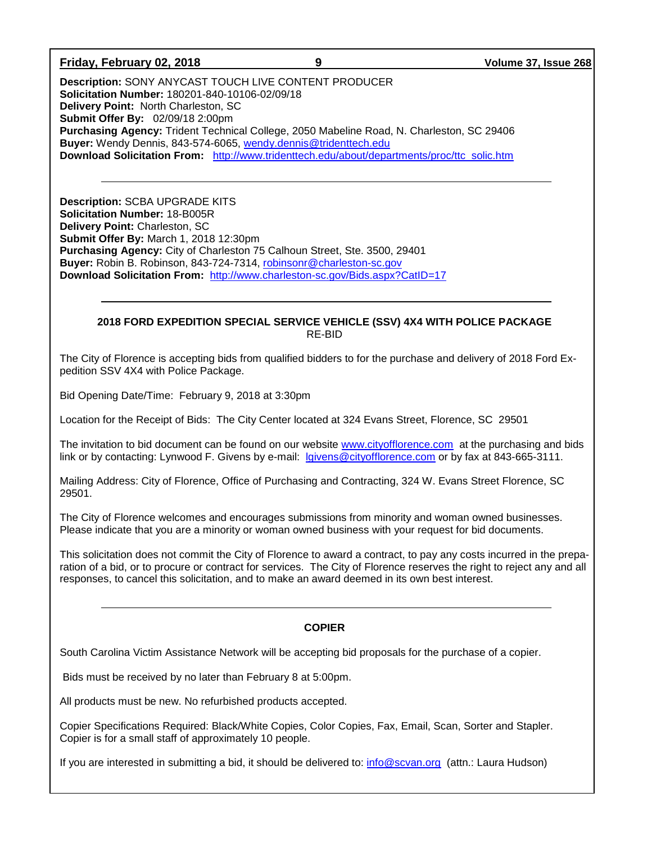#### **Friday, February 02, 2018 9 Volume 37, Issue 268**

**Description:** SONY ANYCAST TOUCH LIVE CONTENT PRODUCER **Solicitation Number:** 180201-840-10106-02/09/18 **Delivery Point:** North Charleston, SC **Submit Offer By:** 02/09/18 2:00pm **Purchasing Agency:** Trident Technical College, 2050 Mabeline Road, N. Charleston, SC 29406 **Buyer:** Wendy Dennis, 843-574-6065, [wendy.dennis@tridenttech.edu](mailto:wendy.dennis@tridenttech.edu) **Download Solicitation From:** [http://www.tridenttech.edu/about/departments/proc/ttc\\_solic.htm](http://www.tridenttech.edu/about/departments/proc/ttc_solic.htm)

**Description:** SCBA UPGRADE KITS **Solicitation Number:** 18-B005R **Delivery Point:** Charleston, SC **Submit Offer By:** March 1, 2018 12:30pm **Purchasing Agency:** City of Charleston 75 Calhoun Street, Ste. 3500, 29401 **Buyer:** Robin B. Robinson, 843-724-7314, [robinsonr@charleston-sc.gov](mailto:robinsonr@charleston-sc.gov) **Download Solicitation From:** <http://www.charleston-sc.gov/Bids.aspx?CatID=17>

#### **2018 FORD EXPEDITION SPECIAL SERVICE VEHICLE (SSV) 4X4 WITH POLICE PACKAGE** RE-BID

The City of Florence is accepting bids from qualified bidders to for the purchase and delivery of 2018 Ford Expedition SSV 4X4 with Police Package.

Bid Opening Date/Time: February 9, 2018 at 3:30pm

Location for the Receipt of Bids: The City Center located at 324 Evans Street, Florence, SC 29501

The invitation to bid document can be found on our website [www.cityofflorence.com](http://www.cityofflorence.com/) at the purchasing and bids link or by contacting: Lynwood F. Givens by e-mail: [lgivens@cityofflorence.com](mailto:lgivens@cityofflorence.com) or by fax at 843-665-3111.

Mailing Address: City of Florence, Office of Purchasing and Contracting, 324 W. Evans Street Florence, SC 29501.

The City of Florence welcomes and encourages submissions from minority and woman owned businesses. Please indicate that you are a minority or woman owned business with your request for bid documents.

This solicitation does not commit the City of Florence to award a contract, to pay any costs incurred in the preparation of a bid, or to procure or contract for services. The City of Florence reserves the right to reject any and all responses, to cancel this solicitation, and to make an award deemed in its own best interest.

#### **COPIER**

South Carolina Victim Assistance Network will be accepting bid proposals for the purchase of a copier.

Bids must be received by no later than February 8 at 5:00pm.

All products must be new. No refurbished products accepted.

Copier Specifications Required: Black/White Copies, Color Copies, Fax, Email, Scan, Sorter and Stapler. Copier is for a small staff of approximately 10 people.

If you are interested in submitting a bid, it should be delivered to: [info@scvan.org](mailto:info@scvan.org) (attn.: Laura Hudson)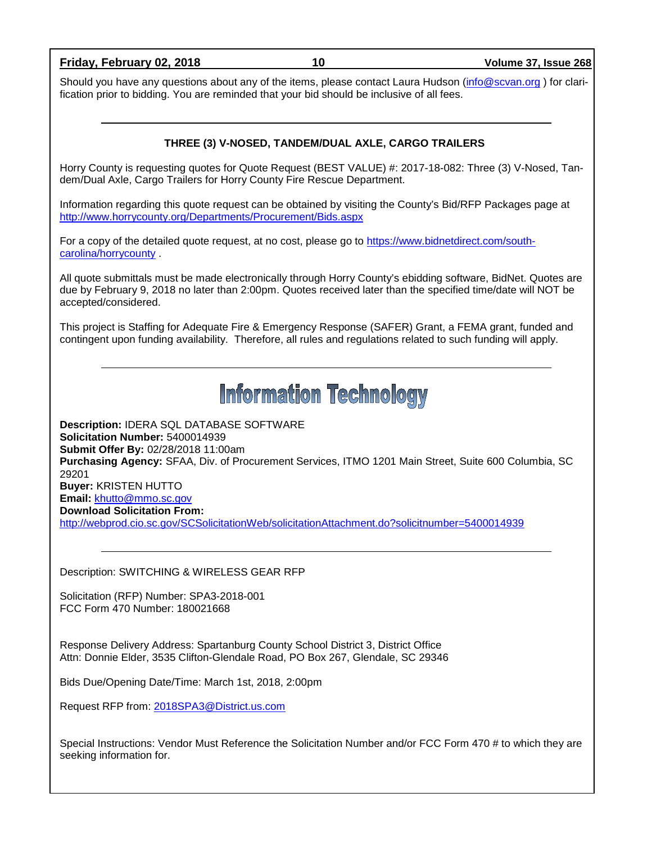**Friday, February 02, 2018 10 Volume 37, Issue 268** Should you have any questions about any of the items, please contact Laura Hudson [\(info@scvan.org](mailto:info@scvan.org)) for clarification prior to bidding. You are reminded that your bid should be inclusive of all fees. **THREE (3) V-NOSED, TANDEM/DUAL AXLE, CARGO TRAILERS** Horry County is requesting quotes for Quote Request (BEST VALUE) #: 2017-18-082: Three (3) V-Nosed, Tandem/Dual Axle, Cargo Trailers for Horry County Fire Rescue Department. Information regarding this quote request can be obtained by visiting the County's Bid/RFP Packages page at <http://www.horrycounty.org/Departments/Procurement/Bids.aspx> For a copy of the detailed quote request, at no cost, please go to [https://www.bidnetdirect.com/south](https://www.bidnetdirect.com/south-carolina/horrycounty)[carolina/horrycounty](https://www.bidnetdirect.com/south-carolina/horrycounty) . All quote submittals must be made electronically through Horry County's ebidding software, BidNet. Quotes are due by February 9, 2018 no later than 2:00pm. Quotes received later than the specified time/date will NOT be accepted/considered. This project is Staffing for Adequate Fire & Emergency Response (SAFER) Grant, a FEMA grant, funded and contingent upon funding availability. Therefore, all rules and regulations related to such funding will apply. **Information Technology Description:** IDERA SQL DATABASE SOFTWARE **Solicitation Number:** 5400014939 **Submit Offer By:** 02/28/2018 11:00am **Purchasing Agency:** SFAA, Div. of Procurement Services, ITMO 1201 Main Street, Suite 600 Columbia, SC 29201 **Buyer:** KRISTEN HUTTO **Email:** [khutto@mmo.sc.gov](mailto:khutto@mmo.sc.gov) **Download Solicitation From:**  <http://webprod.cio.sc.gov/SCSolicitationWeb/solicitationAttachment.do?solicitnumber=5400014939> Description: SWITCHING & WIRELESS GEAR RFP Solicitation (RFP) Number: SPA3-2018-001 FCC Form 470 Number: 180021668 Response Delivery Address: Spartanburg County School District 3, District Office Attn: Donnie Elder, 3535 Clifton-Glendale Road, PO Box 267, Glendale, SC 29346 Bids Due/Opening Date/Time: March 1st, 2018, 2:00pm Request RFP from: [2018SPA3@District.us.com](mailto:2018SPA3@District.us.com)

Special Instructions: Vendor Must Reference the Solicitation Number and/or FCC Form 470 # to which they are seeking information for.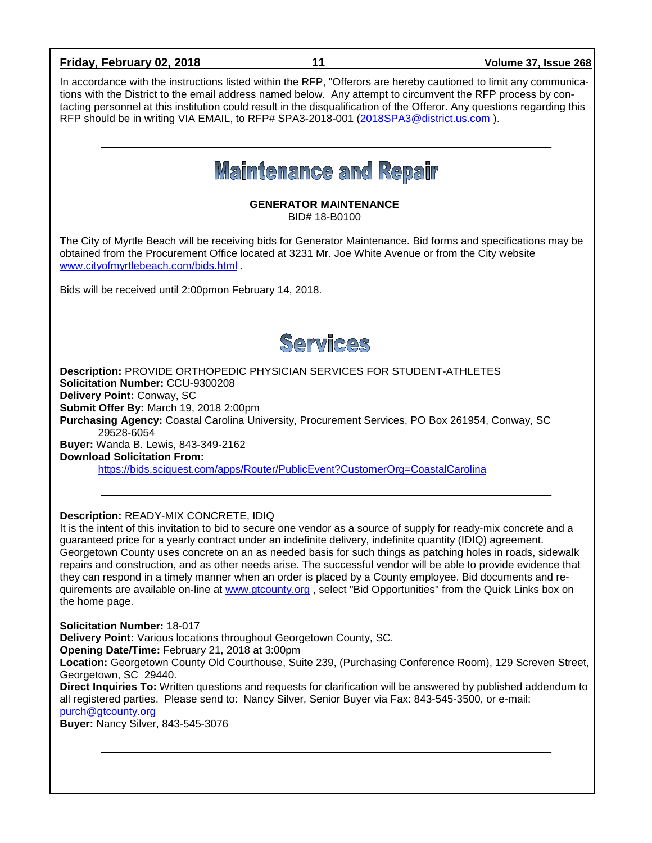### **Friday, February 02, 2018 11 Volume 37, Issue 268** In accordance with the instructions listed within the RFP, "Offerors are hereby cautioned to limit any communications with the District to the email address named below. Any attempt to circumvent the RFP process by contacting personnel at this institution could result in the disqualification of the Offeror. Any questions regarding this RFP should be in writing VIA EMAIL, to RFP# SPA3-2018-001 [\(2018SPA3@district.us.com](mailto:2018SPA3@district.us.com) ). **Maintenance and Repair GENERATOR MAINTENANCE** BID# 18-B0100 The City of Myrtle Beach will be receiving bids for Generator Maintenance. Bid forms and specifications may be obtained from the Procurement Office located at 3231 Mr. Joe White Avenue or from the City website [www.cityofmyrtlebeach.com/bids.html](http://www.cityofmyrtlebeach.com/bids.html) . Bids will be received until 2:00pmon February 14, 2018. Services **Description:** PROVIDE ORTHOPEDIC PHYSICIAN SERVICES FOR STUDENT-ATHLETES **Solicitation Number:** CCU-9300208 **Delivery Point:** Conway, SC **Submit Offer By:** March 19, 2018 2:00pm **Purchasing Agency:** Coastal Carolina University, Procurement Services, PO Box 261954, Conway, SC 29528-6054 **Buyer:** Wanda B. Lewis, 843-349-2162 **Download Solicitation From:** <https://bids.sciquest.com/apps/Router/PublicEvent?CustomerOrg=CoastalCarolina> **Description:** READY-MIX CONCRETE, IDIQ It is the intent of this invitation to bid to secure one vendor as a source of supply for ready-mix concrete and a guaranteed price for a yearly contract under an indefinite delivery, indefinite quantity (IDIQ) agreement. Georgetown County uses concrete on an as needed basis for such things as patching holes in roads, sidewalk repairs and construction, and as other needs arise. The successful vendor will be able to provide evidence that they can respond in a timely manner when an order is placed by a County employee. Bid documents and requirements are available on-line at [www.gtcounty.org](http://www.gtcounty.org/) , select "Bid Opportunities" from the Quick Links box on the home page. **Solicitation Number:** 18-017 **Delivery Point:** Various locations throughout Georgetown County, SC. **Opening Date/Time:** February 21, 2018 at 3:00pm **Location:** Georgetown County Old Courthouse, Suite 239, (Purchasing Conference Room), 129 Screven Street, Georgetown, SC 29440. **Direct Inquiries To:** Written questions and requests for clarification will be answered by published addendum to all registered parties. Please send to: Nancy Silver, Senior Buyer via Fax: 843-545-3500, or e-mail: [purch@gtcounty.org](mailto:purch@gtcounty.org) **Buyer:** Nancy Silver, 843-545-3076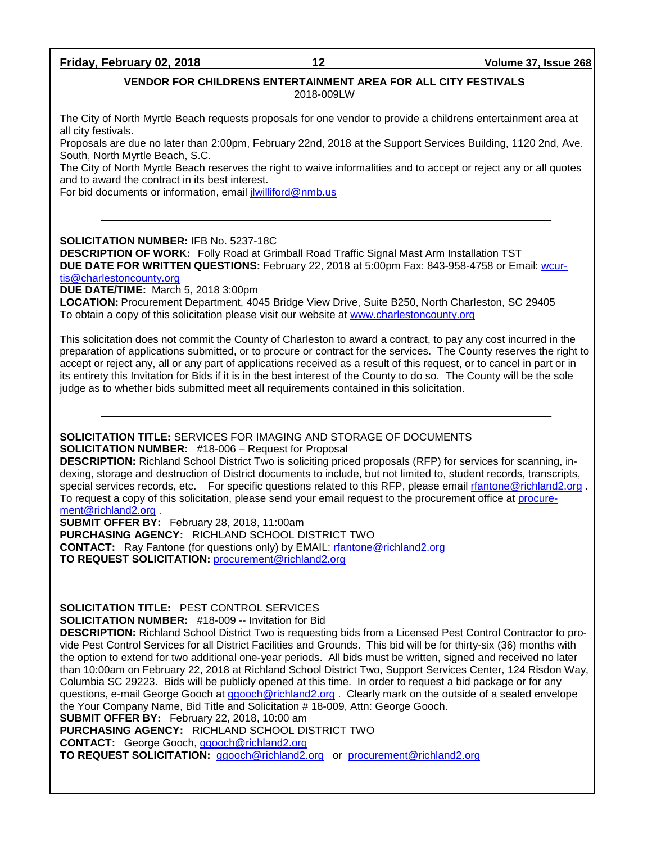#### **Friday, February 02, 2018 12 Volume 37, Issue 268**

#### **VENDOR FOR CHILDRENS ENTERTAINMENT AREA FOR ALL CITY FESTIVALS**

2018-009LW

The City of North Myrtle Beach requests proposals for one vendor to provide a childrens entertainment area at all city festivals.

Proposals are due no later than 2:00pm, February 22nd, 2018 at the Support Services Building, 1120 2nd, Ave. South, North Myrtle Beach, S.C.

The City of North Myrtle Beach reserves the right to waive informalities and to accept or reject any or all quotes and to award the contract in its best interest.

For bid documents or information, email [jlwilliford@nmb.us](mailto:jlwilliford@nmb.us)

**SOLICITATION NUMBER:** IFB No. 5237-18C

**DESCRIPTION OF WORK:** Folly Road at Grimball Road Traffic Signal Mast Arm Installation TST **DUE DATE FOR WRITTEN QUESTIONS:** February 22, 2018 at 5:00pm Fax: 843-958-4758 or Email: [wcur-](mailto:wcurtis@charlestoncounty.org)

[tis@charlestoncounty.org](mailto:wcurtis@charlestoncounty.org)

**DUE DATE/TIME:** March 5, 2018 3:00pm

**LOCATION:** Procurement Department, 4045 Bridge View Drive, Suite B250, North Charleston, SC 29405 To obtain a copy of this solicitation please visit our website at [www.charlestoncounty.org](http://www.charlestoncounty.org/)

This solicitation does not commit the County of Charleston to award a contract, to pay any cost incurred in the preparation of applications submitted, or to procure or contract for the services. The County reserves the right to accept or reject any, all or any part of applications received as a result of this request, or to cancel in part or in its entirety this Invitation for Bids if it is in the best interest of the County to do so. The County will be the sole judge as to whether bids submitted meet all requirements contained in this solicitation.

#### **SOLICITATION TITLE:** SERVICES FOR IMAGING AND STORAGE OF DOCUMENTS **SOLICITATION NUMBER:** #18-006 – Request for Proposal

**DESCRIPTION:** Richland School District Two is soliciting priced proposals (RFP) for services for scanning, indexing, storage and destruction of District documents to include, but not limited to, student records, transcripts, special services records, etc. For specific questions related to this RFP, please email [rfantone@richland2.org](mailto:rfantone@richland2.org). To request a copy of this solicitation, please send your email request to the procurement office at [procure](mailto:procurement@richland2.org)[ment@richland2.org](mailto:procurement@richland2.org) .

**SUBMIT OFFER BY:** February 28, 2018, 11:00am **PURCHASING AGENCY:** RICHLAND SCHOOL DISTRICT TWO **CONTACT:** Ray Fantone (for questions only) by EMAIL: [rfantone@richland2.org](mailto:rfantone@richland2.org) **TO REQUEST SOLICITATION:** [procurement@richland2.org](mailto:procurement@richland2.org)

**SOLICITATION TITLE:** PEST CONTROL SERVICES

**SOLICITATION NUMBER:** #18-009 -- Invitation for Bid

**DESCRIPTION:** Richland School District Two is requesting bids from a Licensed Pest Control Contractor to provide Pest Control Services for all District Facilities and Grounds. This bid will be for thirty-six (36) months with the option to extend for two additional one-year periods. All bids must be written, signed and received no later than 10:00am on February 22, 2018 at Richland School District Two, Support Services Center, 124 Risdon Way, Columbia SC 29223. Bids will be publicly opened at this time. In order to request a bid package or for any questions, e-mail George Gooch at [ggooch@richland2.org](mailto:ggooch@richland2.org). Clearly mark on the outside of a sealed envelope the Your Company Name, Bid Title and Solicitation # 18-009, Attn: George Gooch.

**SUBMIT OFFER BY:** February 22, 2018, 10:00 am

**PURCHASING AGENCY:** RICHLAND SCHOOL DISTRICT TWO

**CONTACT:** George Gooch, [ggooch@richland2.org](mailto:ggooch@richland2.org)

**TO REQUEST SOLICITATION:** [ggooch@richland2.org](mailto:ggooch@richland2.org) or [procurement@richland2.org](mailto:procurement@richland2.org)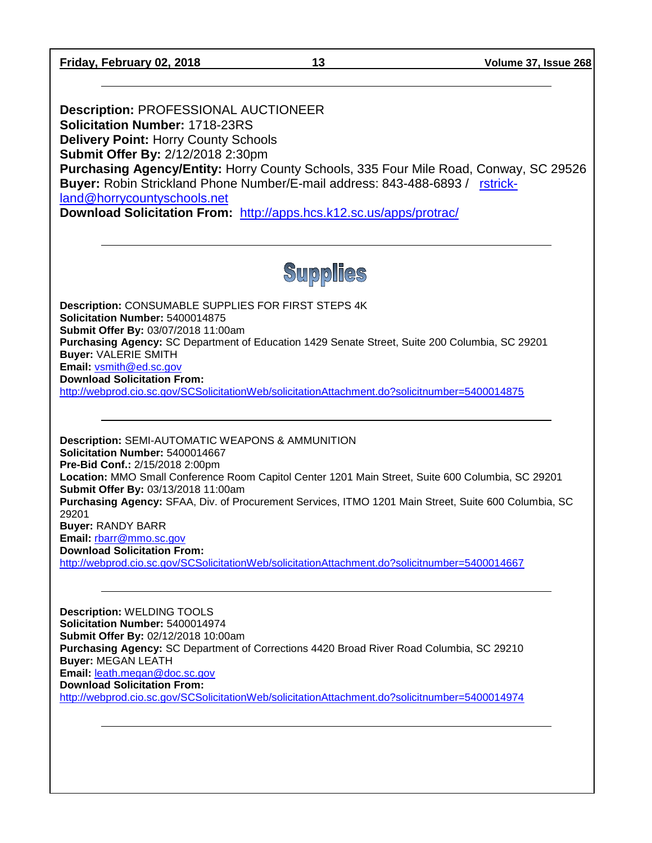**Friday, February 02, 2018 13 Volume 37, Issue 268**

**Description:** PROFESSIONAL AUCTIONEER **Solicitation Number:** 1718-23RS **Delivery Point:** Horry County Schools **Submit Offer By:** 2/12/2018 2:30pm **Purchasing Agency/Entity:** Horry County Schools, 335 Four Mile Road, Conway, SC 29526 **Buyer:** Robin Strickland Phone Number/E-mail address: 843-488-6893 / [rstrick](mailto:rstrickland@horrycountyschools.net)[land@horrycountyschools.net](mailto:rstrickland@horrycountyschools.net) **Download Solicitation From:** <http://apps.hcs.k12.sc.us/apps/protrac/>

**Supplies** 

**Description:** CONSUMABLE SUPPLIES FOR FIRST STEPS 4K **Solicitation Number:** 5400014875 **Submit Offer By:** 03/07/2018 11:00am **Purchasing Agency:** SC Department of Education 1429 Senate Street, Suite 200 Columbia, SC 29201 **Buyer:** VALERIE SMITH **Email:** [vsmith@ed.sc.gov](mailto:vsmith@ed.sc.gov) **Download Solicitation From:** 

<http://webprod.cio.sc.gov/SCSolicitationWeb/solicitationAttachment.do?solicitnumber=5400014875>

**Description:** SEMI-AUTOMATIC WEAPONS & AMMUNITION **Solicitation Number:** 5400014667 **Pre-Bid Conf.:** 2/15/2018 2:00pm **Location:** MMO Small Conference Room Capitol Center 1201 Main Street, Suite 600 Columbia, SC 29201 **Submit Offer By:** 03/13/2018 11:00am **Purchasing Agency:** SFAA, Div. of Procurement Services, ITMO 1201 Main Street, Suite 600 Columbia, SC 29201 **Buyer:** RANDY BARR **Email:** [rbarr@mmo.sc.gov](mailto:rbarr@mmo.sc.gov) **Download Solicitation From:**  <http://webprod.cio.sc.gov/SCSolicitationWeb/solicitationAttachment.do?solicitnumber=5400014667>

**Description:** WELDING TOOLS **Solicitation Number:** 5400014974 **Submit Offer By:** 02/12/2018 10:00am **Purchasing Agency:** SC Department of Corrections 4420 Broad River Road Columbia, SC 29210 **Buyer:** MEGAN LEATH **Email:** [leath.megan@doc.sc.gov](mailto:leath.megan@doc.sc.gov) **Download Solicitation From:**  <http://webprod.cio.sc.gov/SCSolicitationWeb/solicitationAttachment.do?solicitnumber=5400014974>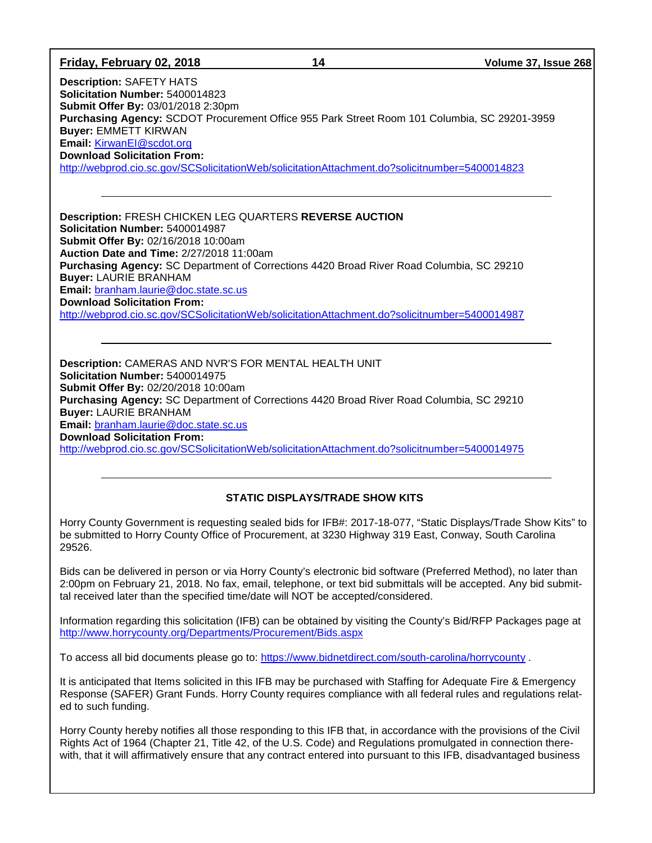| Friday, February 02, 2018                                                                                                                                                                                                                                                                                                                                                                                                                                                                  | 14 | Volume 37, Issue 268 |  |  |
|--------------------------------------------------------------------------------------------------------------------------------------------------------------------------------------------------------------------------------------------------------------------------------------------------------------------------------------------------------------------------------------------------------------------------------------------------------------------------------------------|----|----------------------|--|--|
| <b>Description: SAFETY HATS</b><br>Solicitation Number: 5400014823<br>Submit Offer By: 03/01/2018 2:30pm<br>Purchasing Agency: SCDOT Procurement Office 955 Park Street Room 101 Columbia, SC 29201-3959<br><b>Buyer: EMMETT KIRWAN</b><br>Email: KirwanEl@scdot.org<br><b>Download Solicitation From:</b><br>http://webprod.cio.sc.gov/SCSolicitationWeb/solicitationAttachment.do?solicitnumber=5400014823                                                                               |    |                      |  |  |
| Description: FRESH CHICKEN LEG QUARTERS REVERSE AUCTION<br>Solicitation Number: 5400014987<br>Submit Offer By: 02/16/2018 10:00am<br>Auction Date and Time: 2/27/2018 11:00am<br>Purchasing Agency: SC Department of Corrections 4420 Broad River Road Columbia, SC 29210<br><b>Buyer: LAURIE BRANHAM</b><br>Email: branham.laurie@doc.state.sc.us<br><b>Download Solicitation From:</b><br>http://webprod.cio.sc.gov/SCSolicitationWeb/solicitationAttachment.do?solicitnumber=5400014987 |    |                      |  |  |
| Description: CAMERAS AND NVR'S FOR MENTAL HEALTH UNIT<br>Solicitation Number: 5400014975<br>Submit Offer By: 02/20/2018 10:00am<br>Purchasing Agency: SC Department of Corrections 4420 Broad River Road Columbia, SC 29210<br><b>Buyer: LAURIE BRANHAM</b><br>Email: branham.laurie@doc.state.sc.us<br><b>Download Solicitation From:</b><br>http://webprod.cio.sc.gov/SCSolicitationWeb/solicitationAttachment.do?solicitnumber=5400014975                                               |    |                      |  |  |
| <b>STATIC DISPLAYS/TRADE SHOW KITS</b>                                                                                                                                                                                                                                                                                                                                                                                                                                                     |    |                      |  |  |
| Horry County Government is requesting sealed bids for IFB#: 2017-18-077, "Static Displays/Trade Show Kits" to<br>be submitted to Horry County Office of Procurement, at 3230 Highway 319 East, Conway, South Carolina<br>29526.                                                                                                                                                                                                                                                            |    |                      |  |  |
| Bids can be delivered in person or via Horry County's electronic bid software (Preferred Method), no later than<br>2:00pm on February 21, 2018. No fax, email, telephone, or text bid submittals will be accepted. Any bid submit-<br>tal received later than the specified time/date will NOT be accepted/considered.                                                                                                                                                                     |    |                      |  |  |
| Information regarding this solicitation (IFB) can be obtained by visiting the County's Bid/RFP Packages page at<br>http://www.horrycounty.org/Departments/Procurement/Bids.aspx                                                                                                                                                                                                                                                                                                            |    |                      |  |  |
| To access all bid documents please go to: https://www.bidnetdirect.com/south-carolina/horrycounty.                                                                                                                                                                                                                                                                                                                                                                                         |    |                      |  |  |
| It is anticipated that Items solicited in this IFB may be purchased with Staffing for Adequate Fire & Emergency<br>Response (SAFER) Grant Funds. Horry County requires compliance with all federal rules and regulations relat-                                                                                                                                                                                                                                                            |    |                      |  |  |

Horry County hereby notifies all those responding to this IFB that, in accordance with the provisions of the Civil Rights Act of 1964 (Chapter 21, Title 42, of the U.S. Code) and Regulations promulgated in connection therewith, that it will affirmatively ensure that any contract entered into pursuant to this IFB, disadvantaged business

ed to such funding.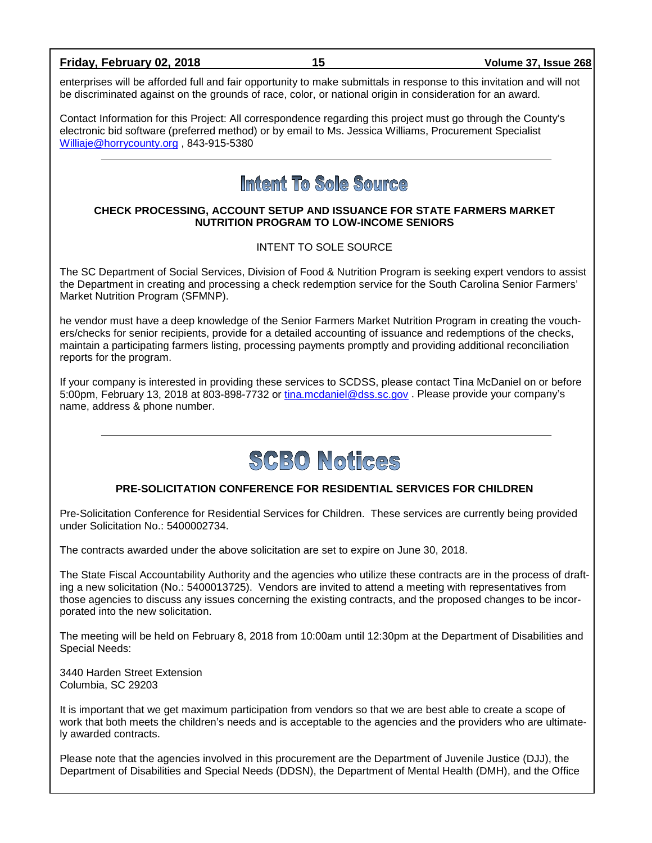#### **Friday, February 02, 2018 15 Volume 37, Issue 268**

enterprises will be afforded full and fair opportunity to make submittals in response to this invitation and will not be discriminated against on the grounds of race, color, or national origin in consideration for an award.

Contact Information for this Project: All correspondence regarding this project must go through the County's electronic bid software (preferred method) or by email to Ms. Jessica Williams, Procurement Specialist [Williaje@horrycounty.org](mailto:Williaje@horrycounty.org) , 843-915-5380

## Intent To Sole Source

#### **CHECK PROCESSING, ACCOUNT SETUP AND ISSUANCE FOR STATE FARMERS MARKET NUTRITION PROGRAM TO LOW-INCOME SENIORS**

INTENT TO SOLE SOURCE

The SC Department of Social Services, Division of Food & Nutrition Program is seeking expert vendors to assist the Department in creating and processing a check redemption service for the South Carolina Senior Farmers' Market Nutrition Program (SFMNP).

he vendor must have a deep knowledge of the Senior Farmers Market Nutrition Program in creating the vouchers/checks for senior recipients, provide for a detailed accounting of issuance and redemptions of the checks, maintain a participating farmers listing, processing payments promptly and providing additional reconciliation reports for the program.

If your company is interested in providing these services to SCDSS, please contact Tina McDaniel on or before 5:00pm, February 13, 2018 at 803-898-7732 or [tina.mcdaniel@dss.sc.gov](mailto:tina.mcdaniel@dss.sc.gov) . Please provide your company's name, address & phone number.



#### **PRE-SOLICITATION CONFERENCE FOR RESIDENTIAL SERVICES FOR CHILDREN**

Pre-Solicitation Conference for Residential Services for Children. These services are currently being provided under Solicitation No.: 5400002734.

The contracts awarded under the above solicitation are set to expire on June 30, 2018.

The State Fiscal Accountability Authority and the agencies who utilize these contracts are in the process of drafting a new solicitation (No.: 5400013725). Vendors are invited to attend a meeting with representatives from those agencies to discuss any issues concerning the existing contracts, and the proposed changes to be incorporated into the new solicitation.

The meeting will be held on February 8, 2018 from 10:00am until 12:30pm at the Department of Disabilities and Special Needs:

3440 Harden Street Extension Columbia, SC 29203

It is important that we get maximum participation from vendors so that we are best able to create a scope of work that both meets the children's needs and is acceptable to the agencies and the providers who are ultimately awarded contracts.

Please note that the agencies involved in this procurement are the Department of Juvenile Justice (DJJ), the Department of Disabilities and Special Needs (DDSN), the Department of Mental Health (DMH), and the Office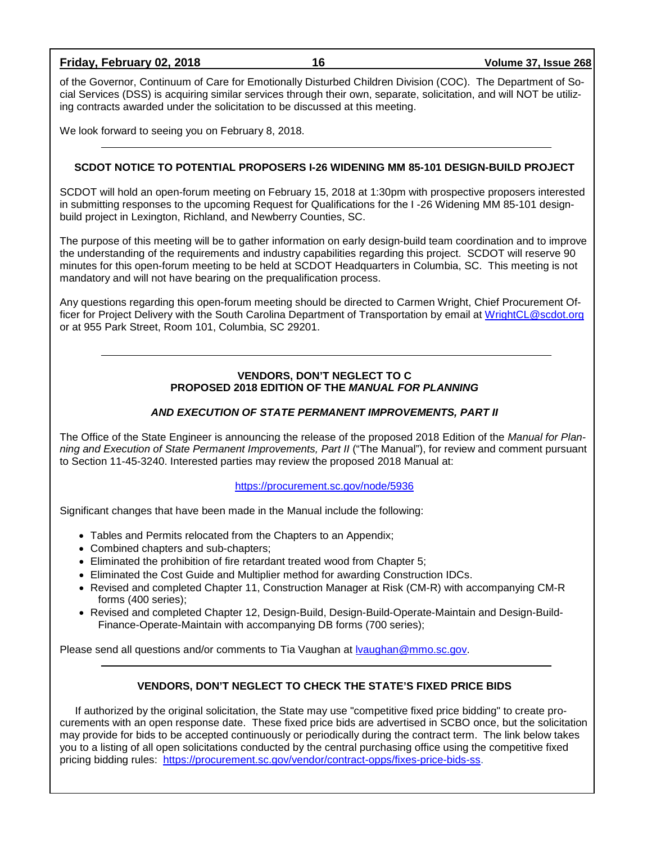**Friday, February 02, 2018 16 Volume 37, Issue 268**

of the Governor, Continuum of Care for Emotionally Disturbed Children Division (COC). The Department of Social Services (DSS) is acquiring similar services through their own, separate, solicitation, and will NOT be utilizing contracts awarded under the solicitation to be discussed at this meeting.

We look forward to seeing you on February 8, 2018.

#### **SCDOT NOTICE TO POTENTIAL PROPOSERS I-26 WIDENING MM 85-101 DESIGN-BUILD PROJECT**

SCDOT will hold an open-forum meeting on February 15, 2018 at 1:30pm with prospective proposers interested in submitting responses to the upcoming Request for Qualifications for the I -26 Widening MM 85-101 designbuild project in Lexington, Richland, and Newberry Counties, SC.

The purpose of this meeting will be to gather information on early design-build team coordination and to improve the understanding of the requirements and industry capabilities regarding this project. SCDOT will reserve 90 minutes for this open-forum meeting to be held at SCDOT Headquarters in Columbia, SC. This meeting is not mandatory and will not have bearing on the prequalification process.

Any questions regarding this open-forum meeting should be directed to Carmen Wright, Chief Procurement Officer for Project Delivery with the South Carolina Department of Transportation by email at [WrightCL@scdot.org](mailto:WrightCL@scdot.org) or at 955 Park Street, Room 101, Columbia, SC 29201.

#### **VENDORS, DON'T NEGLECT TO C PROPOSED 2018 EDITION OF THE** *MANUAL FOR PLANNING*

#### *AND EXECUTION OF STATE PERMANENT IMPROVEMENTS, PART II*

The Office of the State Engineer is announcing the release of the proposed 2018 Edition of the *Manual for Planning and Execution of State Permanent Improvements, Part II* ("The Manual"), for review and comment pursuant to Section 11-45-3240. Interested parties may review the proposed 2018 Manual at:

#### <https://procurement.sc.gov/node/5936>

Significant changes that have been made in the Manual include the following:

- Tables and Permits relocated from the Chapters to an Appendix;
- Combined chapters and sub-chapters;
- Eliminated the prohibition of fire retardant treated wood from Chapter 5;
- Eliminated the Cost Guide and Multiplier method for awarding Construction IDCs.
- Revised and completed Chapter 11, Construction Manager at Risk (CM-R) with accompanying CM-R forms (400 series);
- Revised and completed Chapter 12, Design-Build, Design-Build-Operate-Maintain and Design-Build-Finance-Operate-Maintain with accompanying DB forms (700 series);

Please send all questions and/or comments to Tia Vaughan at [lvaughan@mmo.sc.gov.](mailto:lvaughan@mmo.sc.gov)

#### **VENDORS, DON'T NEGLECT TO CHECK THE STATE'S FIXED PRICE BIDS**

If authorized by the original solicitation, the State may use "competitive fixed price bidding" to create procurements with an open response date. These fixed price bids are advertised in SCBO once, but the solicitation may provide for bids to be accepted continuously or periodically during the contract term. The link below takes you to a listing of all open solicitations conducted by the central purchasing office using the competitive fixed pricing bidding rules: [https://procurement.sc.gov/vendor/contract-opps/fixes-price-bids-ss.](https://procurement.sc.gov/vendor/contract-opps/fixes-price-bids-ss)